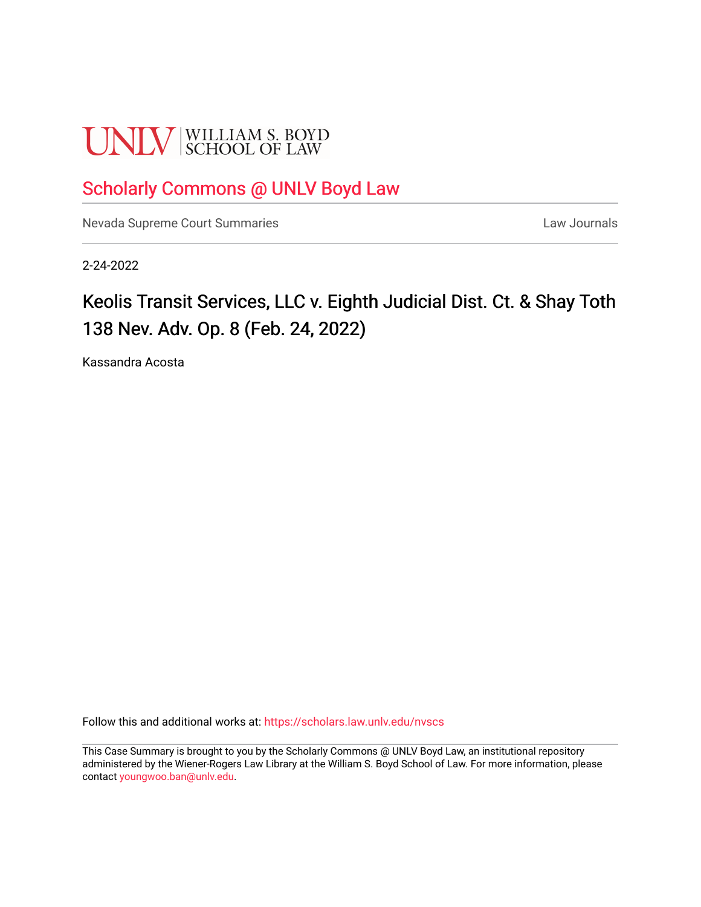# **UNLV** SCHOOL OF LAW

# [Scholarly Commons @ UNLV Boyd Law](https://scholars.law.unlv.edu/)

[Nevada Supreme Court Summaries](https://scholars.law.unlv.edu/nvscs) **Law Journals** Law Journals

2-24-2022

# Keolis Transit Services, LLC v. Eighth Judicial Dist. Ct. & Shay Toth 138 Nev. Adv. Op. 8 (Feb. 24, 2022)

Kassandra Acosta

Follow this and additional works at: [https://scholars.law.unlv.edu/nvscs](https://scholars.law.unlv.edu/nvscs?utm_source=scholars.law.unlv.edu%2Fnvscs%2F1485&utm_medium=PDF&utm_campaign=PDFCoverPages)

This Case Summary is brought to you by the Scholarly Commons @ UNLV Boyd Law, an institutional repository administered by the Wiener-Rogers Law Library at the William S. Boyd School of Law. For more information, please contact [youngwoo.ban@unlv.edu](mailto:youngwoo.ban@unlv.edu).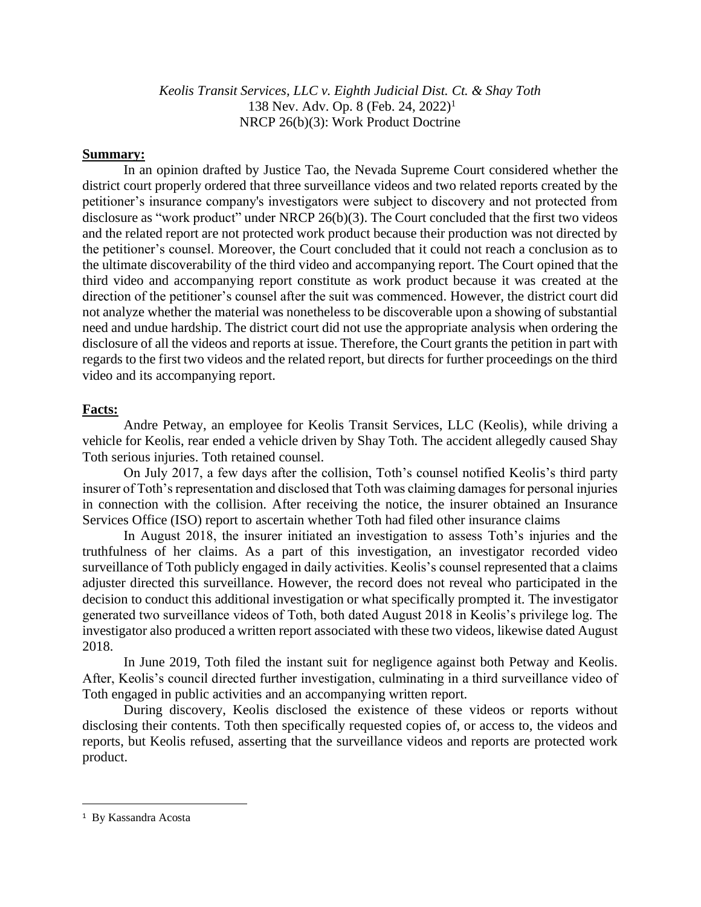*Keolis Transit Services, LLC v. Eighth Judicial Dist. Ct. & Shay Toth* 138 Nev. Adv. Op. 8 (Feb. 24, 2022) 1 NRCP 26(b)(3): Work Product Doctrine

## **Summary:**

In an opinion drafted by Justice Tao, the Nevada Supreme Court considered whether the district court properly ordered that three surveillance videos and two related reports created by the petitioner's insurance company's investigators were subject to discovery and not protected from disclosure as "work product" under NRCP 26(b)(3). The Court concluded that the first two videos and the related report are not protected work product because their production was not directed by the petitioner's counsel. Moreover, the Court concluded that it could not reach a conclusion as to the ultimate discoverability of the third video and accompanying report. The Court opined that the third video and accompanying report constitute as work product because it was created at the direction of the petitioner's counsel after the suit was commenced. However, the district court did not analyze whether the material was nonetheless to be discoverable upon a showing of substantial need and undue hardship. The district court did not use the appropriate analysis when ordering the disclosure of all the videos and reports at issue. Therefore, the Court grants the petition in part with regards to the first two videos and the related report, but directs for further proceedings on the third video and its accompanying report.

## **Facts:**

Andre Petway, an employee for Keolis Transit Services, LLC (Keolis), while driving a vehicle for Keolis, rear ended a vehicle driven by Shay Toth. The accident allegedly caused Shay Toth serious injuries. Toth retained counsel.

On July 2017, a few days after the collision, Toth's counsel notified Keolis's third party insurer of Toth's representation and disclosed that Toth was claiming damages for personal injuries in connection with the collision. After receiving the notice, the insurer obtained an Insurance Services Office (ISO) report to ascertain whether Toth had filed other insurance claims

In August 2018, the insurer initiated an investigation to assess Toth's injuries and the truthfulness of her claims. As a part of this investigation, an investigator recorded video surveillance of Toth publicly engaged in daily activities. Keolis's counsel represented that a claims adjuster directed this surveillance. However, the record does not reveal who participated in the decision to conduct this additional investigation or what specifically prompted it. The investigator generated two surveillance videos of Toth, both dated August 2018 in Keolis's privilege log. The investigator also produced a written report associated with these two videos, likewise dated August 2018.

In June 2019, Toth filed the instant suit for negligence against both Petway and Keolis. After, Keolis's council directed further investigation, culminating in a third surveillance video of Toth engaged in public activities and an accompanying written report.

During discovery, Keolis disclosed the existence of these videos or reports without disclosing their contents. Toth then specifically requested copies of, or access to, the videos and reports, but Keolis refused, asserting that the surveillance videos and reports are protected work product.

<sup>1</sup> By Kassandra Acosta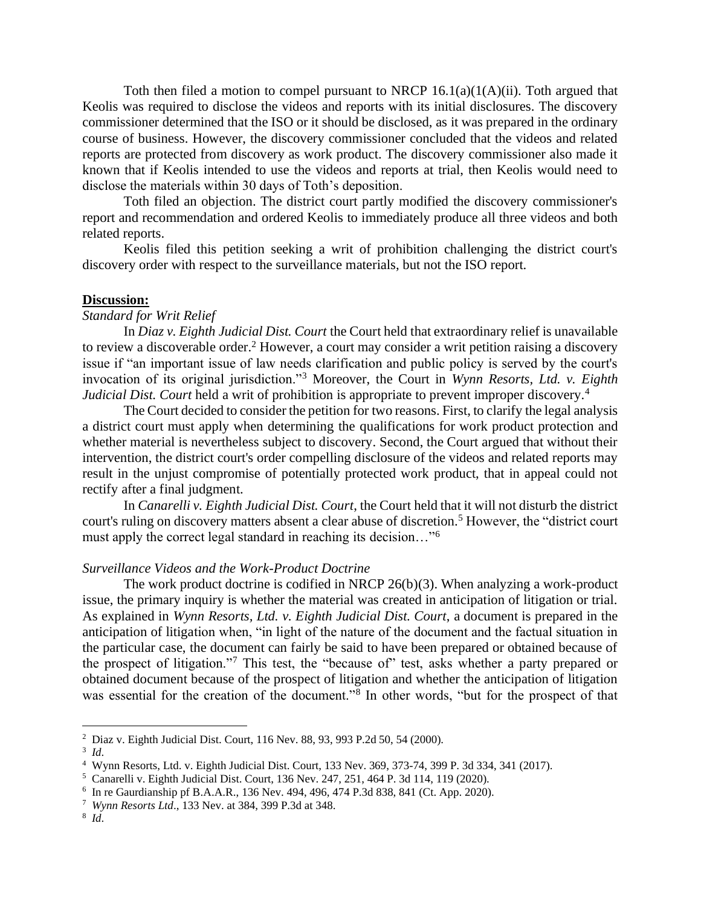Toth then filed a motion to compel pursuant to NRCP  $16.1(a)(1(A)(ii)$ . Toth argued that Keolis was required to disclose the videos and reports with its initial disclosures. The discovery commissioner determined that the ISO or it should be disclosed, as it was prepared in the ordinary course of business. However, the discovery commissioner concluded that the videos and related reports are protected from discovery as work product. The discovery commissioner also made it known that if Keolis intended to use the videos and reports at trial, then Keolis would need to disclose the materials within 30 days of Toth's deposition.

Toth filed an objection. The district court partly modified the discovery commissioner's report and recommendation and ordered Keolis to immediately produce all three videos and both related reports.

Keolis filed this petition seeking a writ of prohibition challenging the district court's discovery order with respect to the surveillance materials, but not the ISO report.

#### **Discussion:**

### *Standard for Writ Relief*

In *Diaz v. Eighth Judicial Dist. Court* the Court held that extraordinary relief is unavailable to review a discoverable order.<sup>2</sup> However, a court may consider a writ petition raising a discovery issue if "an important issue of law needs clarification and public policy is served by the court's invocation of its original jurisdiction."<sup>3</sup> Moreover, the Court in *Wynn Resorts, Ltd. v. Eighth Judicial Dist. Court* held a writ of prohibition is appropriate to prevent improper discovery.<sup>4</sup>

The Court decided to consider the petition for two reasons. First, to clarify the legal analysis a district court must apply when determining the qualifications for work product protection and whether material is nevertheless subject to discovery. Second, the Court argued that without their intervention, the district court's order compelling disclosure of the videos and related reports may result in the unjust compromise of potentially protected work product, that in appeal could not rectify after a final judgment.

In *Canarelli v. Eighth Judicial Dist. Court*, the Court held that it will not disturb the district court's ruling on discovery matters absent a clear abuse of discretion.<sup>5</sup> However, the "district court" must apply the correct legal standard in reaching its decision…"<sup>6</sup>

#### *Surveillance Videos and the Work-Product Doctrine*

The work product doctrine is codified in NRCP 26(b)(3). When analyzing a work-product issue, the primary inquiry is whether the material was created in anticipation of litigation or trial. As explained in *Wynn Resorts, Ltd. v. Eighth Judicial Dist. Court*, a document is prepared in the anticipation of litigation when, "in light of the nature of the document and the factual situation in the particular case, the document can fairly be said to have been prepared or obtained because of the prospect of litigation."<sup>7</sup> This test, the "because of" test, asks whether a party prepared or obtained document because of the prospect of litigation and whether the anticipation of litigation was essential for the creation of the document."<sup>8</sup> In other words, "but for the prospect of that

<sup>2</sup> Diaz v. Eighth Judicial Dist. Court, 116 Nev. 88, 93, 993 P.2d 50, 54 (2000).

<sup>3</sup> *Id*.

<sup>4</sup> Wynn Resorts, Ltd. v. Eighth Judicial Dist. Court, 133 Nev. 369, 373-74, 399 P. 3d 334, 341 (2017).

<sup>5</sup> Canarelli v. Eighth Judicial Dist. Court, 136 Nev. 247, 251, 464 P. 3d 114, 119 (2020).

<sup>6</sup> In re Gaurdianship pf B.A.A.R., 136 Nev. 494, 496, 474 P.3d 838, 841 (Ct. App. 2020).

<sup>7</sup> *Wynn Resorts Ltd*., 133 Nev. at 384, 399 P.3d at 348.

<sup>8</sup> *Id*.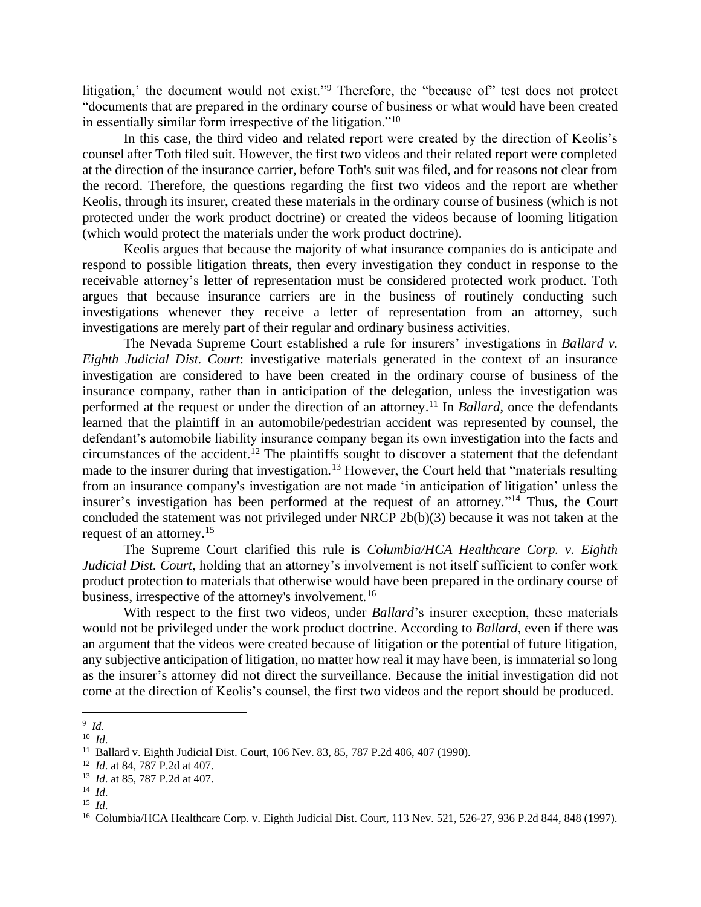litigation,' the document would not exist."<sup>9</sup> Therefore, the "because of" test does not protect "documents that are prepared in the ordinary course of business or what would have been created in essentially similar form irrespective of the litigation."<sup>10</sup>

In this case, the third video and related report were created by the direction of Keolis's counsel after Toth filed suit. However, the first two videos and their related report were completed at the direction of the insurance carrier, before Toth's suit was filed, and for reasons not clear from the record. Therefore, the questions regarding the first two videos and the report are whether Keolis, through its insurer, created these materials in the ordinary course of business (which is not protected under the work product doctrine) or created the videos because of looming litigation (which would protect the materials under the work product doctrine).

Keolis argues that because the majority of what insurance companies do is anticipate and respond to possible litigation threats, then every investigation they conduct in response to the receivable attorney's letter of representation must be considered protected work product. Toth argues that because insurance carriers are in the business of routinely conducting such investigations whenever they receive a letter of representation from an attorney, such investigations are merely part of their regular and ordinary business activities.

The Nevada Supreme Court established a rule for insurers' investigations in *Ballard v. Eighth Judicial Dist. Court*: investigative materials generated in the context of an insurance investigation are considered to have been created in the ordinary course of business of the insurance company, rather than in anticipation of the delegation, unless the investigation was performed at the request or under the direction of an attorney. <sup>11</sup> In *Ballard*, once the defendants learned that the plaintiff in an automobile/pedestrian accident was represented by counsel, the defendant's automobile liability insurance company began its own investigation into the facts and circumstances of the accident. <sup>12</sup> The plaintiffs sought to discover a statement that the defendant made to the insurer during that investigation.<sup>13</sup> However, the Court held that "materials resulting from an insurance company's investigation are not made 'in anticipation of litigation' unless the insurer's investigation has been performed at the request of an attorney."<sup>14</sup> Thus, the Court concluded the statement was not privileged under NRCP 2b(b)(3) because it was not taken at the request of an attorney.<sup>15</sup>

The Supreme Court clarified this rule is *Columbia/HCA Healthcare Corp. v. Eighth Judicial Dist. Court*, holding that an attorney's involvement is not itself sufficient to confer work product protection to materials that otherwise would have been prepared in the ordinary course of business, irrespective of the attorney's involvement.<sup>16</sup>

With respect to the first two videos, under *Ballard*'s insurer exception, these materials would not be privileged under the work product doctrine. According to *Ballard*, even if there was an argument that the videos were created because of litigation or the potential of future litigation, any subjective anticipation of litigation, no matter how real it may have been, is immaterial so long as the insurer's attorney did not direct the surveillance. Because the initial investigation did not come at the direction of Keolis's counsel, the first two videos and the report should be produced.

<sup>9</sup> *Id*.

 $10$  *Id.* 

<sup>11</sup> Ballard v. Eighth Judicial Dist. Court, 106 Nev. 83, 85, 787 P.2d 406, 407 (1990).

<sup>12</sup> *Id*. at 84, 787 P.2d at 407.

<sup>13</sup> *Id*. at 85, 787 P.2d at 407.

<sup>14</sup> *Id*.

<sup>15</sup> *Id*.

<sup>&</sup>lt;sup>16</sup> Columbia/HCA Healthcare Corp. v. Eighth Judicial Dist. Court, 113 Nev. 521, 526-27, 936 P.2d 844, 848 (1997).